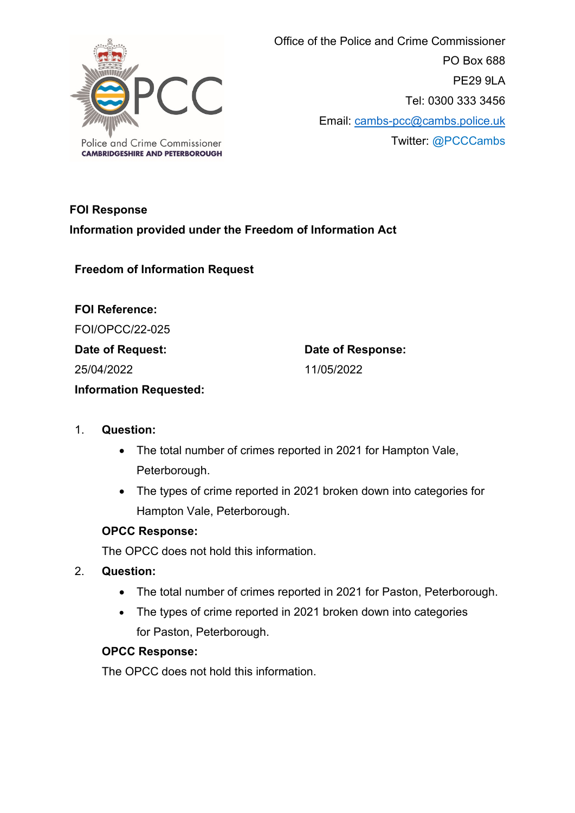

 Office of the Police and Crime Commissioner PO Box 688 PE29 9LA Tel: 0300 333 3456 Email: [cambs-pcc@cambs.police.uk](mailto:cambs-pcc@cambs.police.uk) Twitter: @PCCCambs

# **FOI Response Information provided under the Freedom of Information Act**

**Freedom of Information Request**

**FOI Reference:** FOI/OPCC/22-025 **Date of Request:** 25/04/2022 **Information Requested:** 

**Date of Response:** 11/05/2022

#### 1. **Question:**

- The total number of crimes reported in 2021 for Hampton Vale, Peterborough.
- The types of crime reported in 2021 broken down into categories for Hampton Vale, Peterborough.

#### **OPCC Response:**

The OPCC does not hold this information.

- 2. **Question:**
	- The total number of crimes reported in 2021 for Paston, Peterborough.
	- The types of crime reported in 2021 broken down into categories for Paston, Peterborough.

#### **OPCC Response:**

The OPCC does not hold this information.